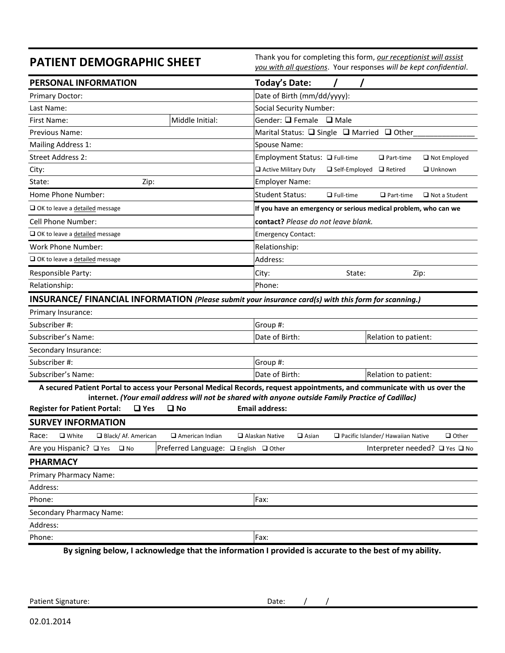**PATIENT DEMOGRAPHIC SHEET**<br> *Thank you for completing this form, <u>our receptionist will assist</u>*  $\frac{1}{2}$  *and the light confidential strategy will be least confidential you with all questions*. Your responses *will be kept confidential*.

| PERSONAL INFORMATION                                                                                                                                                                                                                                                                                                        |                                       | Today's Date:                                                   |                                     |                      |                                |
|-----------------------------------------------------------------------------------------------------------------------------------------------------------------------------------------------------------------------------------------------------------------------------------------------------------------------------|---------------------------------------|-----------------------------------------------------------------|-------------------------------------|----------------------|--------------------------------|
| Primary Doctor:                                                                                                                                                                                                                                                                                                             |                                       | Date of Birth (mm/dd/yyyy):                                     |                                     |                      |                                |
| Last Name:                                                                                                                                                                                                                                                                                                                  |                                       | <b>Social Security Number:</b>                                  |                                     |                      |                                |
| First Name:                                                                                                                                                                                                                                                                                                                 | Middle Initial:                       | Gender: □ Female<br>$\Box$ Male                                 |                                     |                      |                                |
| Previous Name:                                                                                                                                                                                                                                                                                                              |                                       | Marital Status: $\Box$ Single $\Box$ Married $\Box$ Other       |                                     |                      |                                |
| Mailing Address 1:                                                                                                                                                                                                                                                                                                          |                                       | Spouse Name:                                                    |                                     |                      |                                |
| <b>Street Address 2:</b>                                                                                                                                                                                                                                                                                                    |                                       | Employment Status: □ Full-time                                  |                                     | $\Box$ Part-time     | $\Box$ Not Employed            |
| City:                                                                                                                                                                                                                                                                                                                       |                                       | Active Military Duty                                            | $\Box$ Self-Employed $\Box$ Retired |                      | $\Box$ Unknown                 |
| State:<br>Zip:                                                                                                                                                                                                                                                                                                              |                                       | <b>Employer Name:</b>                                           |                                     |                      |                                |
| Home Phone Number:                                                                                                                                                                                                                                                                                                          |                                       | <b>Student Status:</b>                                          | $\Box$ Full-time                    | $\Box$ Part-time     | $\Box$ Not a Student           |
| $\Box$ OK to leave a detailed message                                                                                                                                                                                                                                                                                       |                                       | If you have an emergency or serious medical problem, who can we |                                     |                      |                                |
| <b>Cell Phone Number:</b>                                                                                                                                                                                                                                                                                                   |                                       | contact? Please do not leave blank.                             |                                     |                      |                                |
| OK to leave a detailed message                                                                                                                                                                                                                                                                                              |                                       | <b>Emergency Contact:</b>                                       |                                     |                      |                                |
| Work Phone Number:                                                                                                                                                                                                                                                                                                          |                                       | Relationship:                                                   |                                     |                      |                                |
| OK to leave a detailed message                                                                                                                                                                                                                                                                                              |                                       | Address:                                                        |                                     |                      |                                |
| Responsible Party:                                                                                                                                                                                                                                                                                                          |                                       | City:                                                           | State:<br>Zip:                      |                      |                                |
| Relationship:                                                                                                                                                                                                                                                                                                               |                                       | Phone:                                                          |                                     |                      |                                |
| INSURANCE/ FINANCIAL INFORMATION (Please submit your insurance card(s) with this form for scanning.)                                                                                                                                                                                                                        |                                       |                                                                 |                                     |                      |                                |
| Primary Insurance:                                                                                                                                                                                                                                                                                                          |                                       |                                                                 |                                     |                      |                                |
| Subscriber #:                                                                                                                                                                                                                                                                                                               |                                       | Group #:                                                        |                                     |                      |                                |
| Subscriber's Name:                                                                                                                                                                                                                                                                                                          |                                       | Date of Birth:                                                  |                                     | Relation to patient: |                                |
| Secondary Insurance:                                                                                                                                                                                                                                                                                                        |                                       |                                                                 |                                     |                      |                                |
| Subscriber #:                                                                                                                                                                                                                                                                                                               |                                       | Group #:                                                        |                                     |                      |                                |
| Subscriber's Name:                                                                                                                                                                                                                                                                                                          |                                       | Date of Birth:                                                  |                                     | Relation to patient: |                                |
| A secured Patient Portal to access your Personal Medical Records, request appointments, and communicate with us over the<br>internet. (Your email address will not be shared with anyone outside Family Practice of Cadillac)<br><b>Register for Patient Portal:</b><br>$\Box$ Yes<br>$\square$ No<br><b>Email address:</b> |                                       |                                                                 |                                     |                      |                                |
| <b>SURVEY INFORMATION</b>                                                                                                                                                                                                                                                                                                   |                                       |                                                                 |                                     |                      |                                |
| Race:<br>$\Box$ White<br>Black/Af. American<br>$\Box$ American Indian<br>$\Box$ Alaskan Native<br>$\Box$ Asian<br>Pacific Islander/ Hawaiian Native                                                                                                                                                                         |                                       |                                                                 |                                     |                      | $\Box$ Other                   |
| Are you Hispanic? □ Yes<br>$\square$ No                                                                                                                                                                                                                                                                                     | Preferred Language: □ English □ Other |                                                                 |                                     |                      | Interpreter needed? □ Yes □ No |
| <b>PHARMACY</b>                                                                                                                                                                                                                                                                                                             |                                       |                                                                 |                                     |                      |                                |
| Primary Pharmacy Name:                                                                                                                                                                                                                                                                                                      |                                       |                                                                 |                                     |                      |                                |
| Address:                                                                                                                                                                                                                                                                                                                    |                                       |                                                                 |                                     |                      |                                |
| Phone:                                                                                                                                                                                                                                                                                                                      |                                       | Fax:                                                            |                                     |                      |                                |
| Secondary Pharmacy Name:                                                                                                                                                                                                                                                                                                    |                                       |                                                                 |                                     |                      |                                |
| Address:                                                                                                                                                                                                                                                                                                                    |                                       |                                                                 |                                     |                      |                                |
| Phone:                                                                                                                                                                                                                                                                                                                      |                                       | Fax:                                                            |                                     |                      |                                |
| By signing below, I acknowledge that the information I provided is accurate to the best of my ability.                                                                                                                                                                                                                      |                                       |                                                                 |                                     |                      |                                |

Patient Signature: Date:  $\begin{array}{cc} \big) & \big) & \big/ \end{array}$